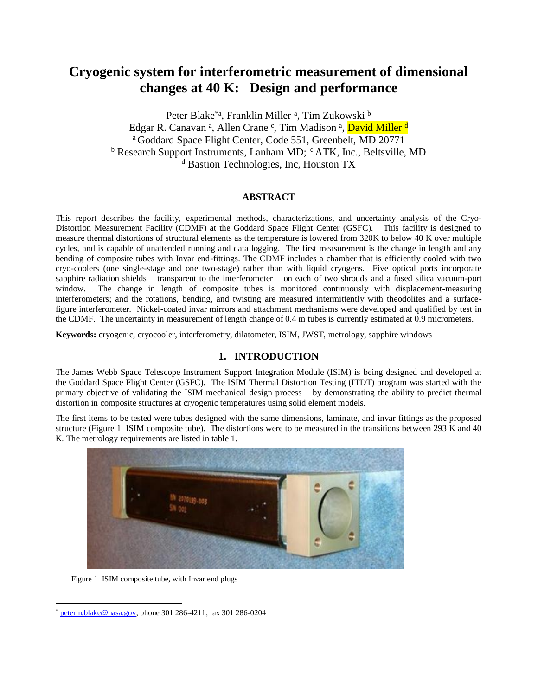# **Cryogenic system for interferometric measurement of dimensional changes at 40 K: Design and performance**

Peter Blake<sup>\*a</sup>, Franklin Miller <sup>a</sup>, Tim Zukowski <sup>b</sup> Edgar R. Canavan ª, Allen Crane °, Tim Madison ª, <mark>David Miller <sup>d</sup></mark> <sup>a</sup> Goddard Space Flight Center, Code 551, Greenbelt, MD 20771  $b$  Research Support Instruments, Lanham MD;  $c$  ATK, Inc., Beltsville, MD <sup>d</sup> Bastion Technologies, Inc, Houston TX

# **ABSTRACT**

This report describes the facility, experimental methods, characterizations, and uncertainty analysis of the Cryo-Distortion Measurement Facility (CDMF) at the Goddard Space Flight Center (GSFC). This facility is designed to measure thermal distortions of structural elements as the temperature is lowered from 320K to below 40 K over multiple cycles, and is capable of unattended running and data logging. The first measurement is the change in length and any bending of composite tubes with Invar end-fittings. The CDMF includes a chamber that is efficiently cooled with two cryo-coolers (one single-stage and one two-stage) rather than with liquid cryogens. Five optical ports incorporate sapphire radiation shields – transparent to the interferometer – on each of two shrouds and a fused silica vacuum-port window. The change in length of composite tubes is monitored continuously with displacement-measuring interferometers; and the rotations, bending, and twisting are measured intermittently with theodolites and a surfacefigure interferometer. Nickel-coated invar mirrors and attachment mechanisms were developed and qualified by test in the CDMF. The uncertainty in measurement of length change of 0.4 m tubes is currently estimated at 0.9 micrometers.

**Keywords:** cryogenic, cryocooler, interferometry, dilatometer, ISIM, JWST, metrology, sapphire windows

# **1. INTRODUCTION**

The James Webb Space Telescope Instrument Support Integration Module (ISIM) is being designed and developed at the Goddard Space Flight Center (GSFC). The ISIM Thermal Distortion Testing (ITDT) program was started with the primary objective of validating the ISIM mechanical design process – by demonstrating the ability to predict thermal distortion in composite structures at cryogenic temperatures using solid element models.

The first items to be tested were tubes designed with the same dimensions, laminate, and invar fittings as the proposed structure [\(Figure 1 ISIM composite tube\)](#page-0-0). The distortions were to be measured in the transitions between 293 K and 40 K. The metrology requirements are listed in table 1.



Figure 1 ISIM composite tube, with Invar end plugs

<span id="page-0-0"></span> $\overline{a}$ 

[peter.n.blake@nasa.gov;](mailto:peter.n.blake@nasa.gov) phone 301 286-4211; fax 301 286-0204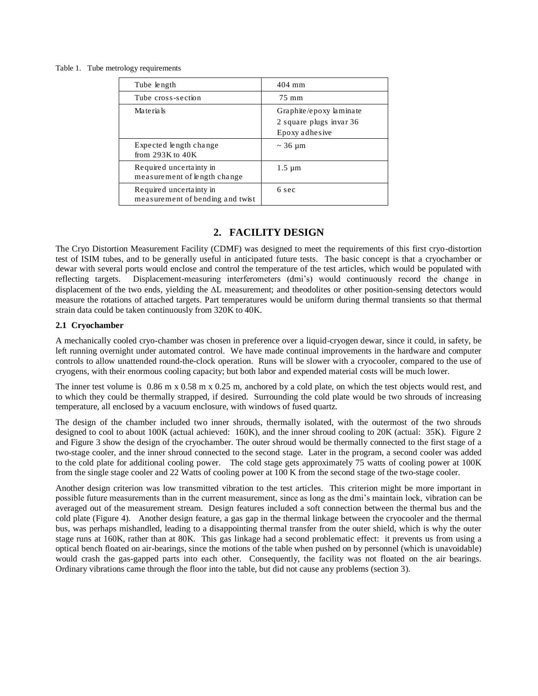#### Table 1. Tube metrology requirements

| Tube length                                                 | $404$ mm                                                              |
|-------------------------------------------------------------|-----------------------------------------------------------------------|
| Tube cross-section                                          | 75 mm                                                                 |
| Materials                                                   | Graphite/epoxy laminate<br>2 square plugs invar 36<br>Epoxy adhes ive |
| Expected length change<br>from $293K$ to $40K$              | $\sim$ 36 µm                                                          |
| Required uncertainty in<br>measurement of length change     | $1.5 \mu m$                                                           |
| Required uncertainty in<br>measurement of bending and twist | 6 sec                                                                 |

# **2. FACILITY DESIGN**

The Cryo Distortion Measurement Facility (CDMF) was designed to meet the requirements of this first cryo-distortion test of ISIM tubes, and to be generally useful in anticipated future tests. The basic concept is that a cryochamber or dewar with several ports would enclose and control the temperature of the test articles, which would be populated with reflecting targets. Displacement-measuring interferometers (dmi's) would continuously record the change in displacement of the two ends, yielding the  $\Delta L$  measurement; and theodolites or other position-sensing detectors would measure the rotations of attached targets. Part temperatures would be uniform during thermal transients so that thermal strain data could be taken continuously from 320K to 40K.

### **2.1 Cryochamber**

A mechanically cooled cryo-chamber was chosen in preference over a liquid-cryogen dewar, since it could, in safety, be left running overnight under automated control. We have made continual improvements in the hardware and computer controls to allow unattended round-the-clock operation. Runs will be slower with a cryocooler, compared to the use of cryogens, with their enormous cooling capacity; but both labor and expended material costs will be much lower.

The inner test volume is 0.86 m x 0.58 m x 0.25 m, anchored by a cold plate, on which the test objects would rest, and to which they could be thermally strapped, if desired. Surrounding the cold plate would be two shrouds of increasing temperature, all enclosed by a vacuum enclosure, with windows of fused quartz.

The design of the chamber included two inner shrouds, thermally isolated, with the outermost of the two shrouds designed to cool to about 100K (actual achieved: 160K), and the inner shroud cooling to 20K (actual: 35K). Figure 2 and [Figure 3](#page-2-0) show the design of the cryochamber. The outer shroud would be thermally connected to the first stage of a two-stage cooler, and the inner shroud connected to the second stage. Later in the program, a second cooler was added to the cold plate for additional cooling power. The cold stage gets approximately 75 watts of cooling power at 100K from the single stage cooler and 22 Watts of cooling power at 100 K from the second stage of the two-stage cooler.

Another design criterion was low transmitted vibration to the test articles. This criterion might be more important in possible future measurements than in the current measurement, since as long as the dmi's maintain lock, vibration can be averaged out of the measurement stream. Design features included a soft connection between the thermal bus and the cold plate [\(Figure 4\)](#page-3-0). Another design feature, a gas gap in the thermal linkage between the cryocooler and the thermal bus, was perhaps mishandled, leading to a disappointing thermal transfer from the outer shield, which is why the outer stage runs at 160K, rather than at 80K. This gas linkage had a second problematic effect: it prevents us from using a optical bench floated on air-bearings, since the motions of the table when pushed on by personnel (which is unavoidable) would crash the gas-gapped parts into each other. Consequently, the facility was not floated on the air bearings. Ordinary vibrations came through the floor into the table, but did not cause any problems (section 3).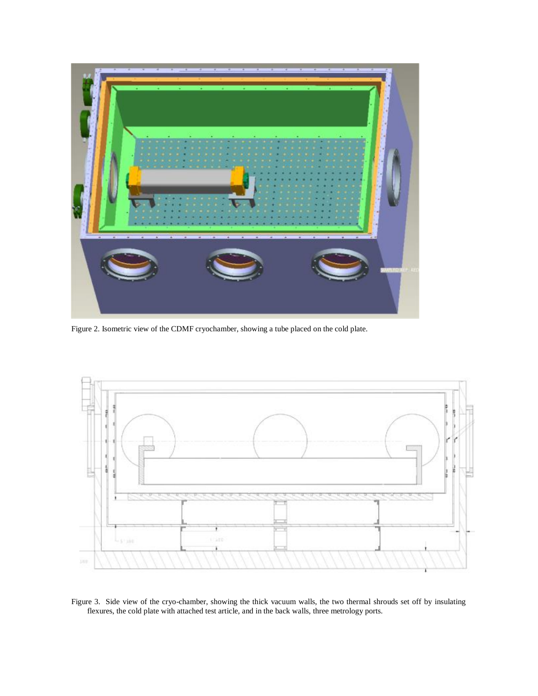

Figure 2. Isometric view of the CDMF cryochamber, showing a tube placed on the cold plate.



<span id="page-2-0"></span>Figure 3. Side view of the cryo-chamber, showing the thick vacuum walls, the two thermal shrouds set off by insulating flexures, the cold plate with attached test article, and in the back walls, three metrology ports.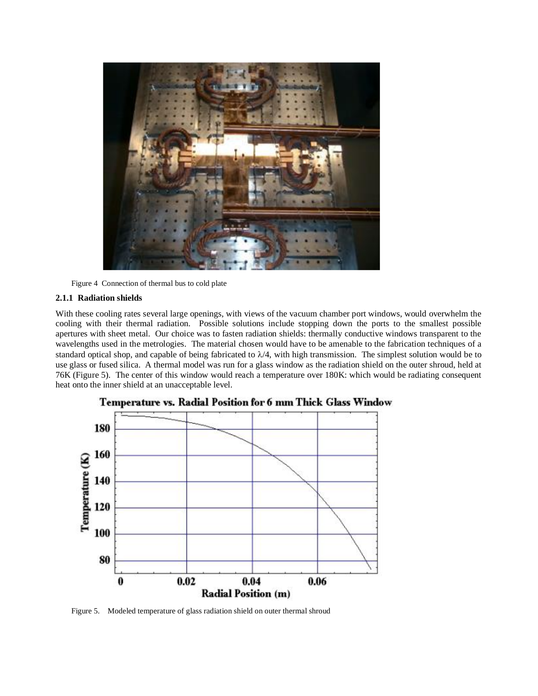

Figure 4 Connection of thermal bus to cold plate

### <span id="page-3-0"></span>**2.1.1 Radiation shields**

With these cooling rates several large openings, with views of the vacuum chamber port windows, would overwhelm the cooling with their thermal radiation. Possible solutions include stopping down the ports to the smallest possible apertures with sheet metal. Our choice was to fasten radiation shields: thermally conductive windows transparent to the wavelengths used in the metrologies. The material chosen would have to be amenable to the fabrication techniques of a standard optical shop, and capable of being fabricated to  $\lambda/4$ , with high transmission. The simplest solution would be to use glass or fused silica. A thermal model was run for a glass window as the radiation shield on the outer shroud, held at 76K (Figure 5). The center of this window would reach a temperature over 180K: which would be radiating consequent heat onto the inner shield at an unacceptable level.



Temperature vs. Radial Position for 6 mm Thick Glass Window

Figure 5. Modeled temperature of glass radiation shield on outer thermal shroud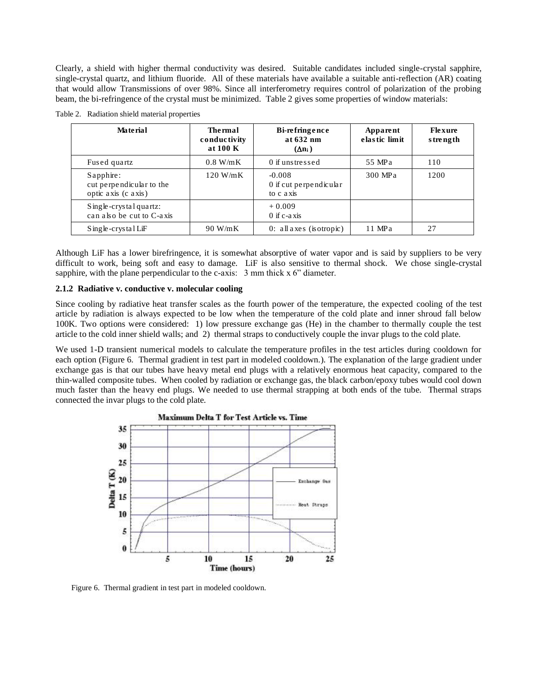Clearly, a shield with higher thermal conductivity was desired. Suitable candidates included single-crystal sapphire, single-crystal quartz, and lithium fluoride. All of these materials have available a suitable anti-reflection (AR) coating that would allow Transmissions of over 98%. Since all interferometry requires control of polarization of the probing beam, the bi-refringence of the crystal must be minimized. Table 2 gives some properties of window materials:

| Material                                                        | Thermal<br>conductivity<br>at 100 K | Bi-refringence<br>at 632 nm<br>$(\Delta n_i)$   | Apparent<br>elastic limit | Flexure<br>strength |
|-----------------------------------------------------------------|-------------------------------------|-------------------------------------------------|---------------------------|---------------------|
| Fused quartz                                                    | 0.8 W/mK                            | 0 if unstressed                                 | 55 MPa                    | 110                 |
| $S$ apphire:<br>cut perpendicular to the<br>optic axis (c axis) | $120$ W/mK                          | $-0.008$<br>0 if cut perpendicular<br>to c axis | 300 MPa                   | 1200                |
| $S$ ingle-crystal quartz:<br>can also be cut to C-axis          |                                     | $+0.009$<br>$0$ if c-axis                       |                           |                     |
| $S$ ingle-crystal LiF                                           | 90 W/mK                             | $0:$ all axes (isotropic)                       | 11 MPa                    | 27                  |

Table 2. Radiation shield material properties

Although LiF has a lower birefringence, it is somewhat absorptive of water vapor and is said by suppliers to be very difficult to work, being soft and easy to damage. LiF is also sensitive to thermal shock. We chose single-crystal sapphire, with the plane perpendicular to the c-axis:  $3 \text{ mm}$  thick x  $6$ " diameter.

### **2.1.2 Radiative v. conductive v. molecular cooling**

Since cooling by radiative heat transfer scales as the fourth power of the temperature, the expected cooling of the test article by radiation is always expected to be low when the temperature of the cold plate and inner shroud fall below 100K. Two options were considered: 1) low pressure exchange gas (He) in the chamber to thermally couple the test article to the cold inner shield walls; and 2) thermal straps to conductively couple the invar plugs to the cold plate.

We used 1-D transient numerical models to calculate the temperature profiles in the test articles during cooldown for each option [\(Figure 6. Thermal gradient in test part in modeled cooldown.\)](#page-4-0). The explanation of the large gradient under exchange gas is that our tubes have heavy metal end plugs with a relatively enormous heat capacity, compared to the thin-walled composite tubes. When cooled by radiation or exchange gas, the black carbon/epoxy tubes would cool down much faster than the heavy end plugs. We needed to use thermal strapping at both ends of the tube. Thermal straps connected the invar plugs to the cold plate.



<span id="page-4-0"></span>Figure 6. Thermal gradient in test part in modeled cooldown.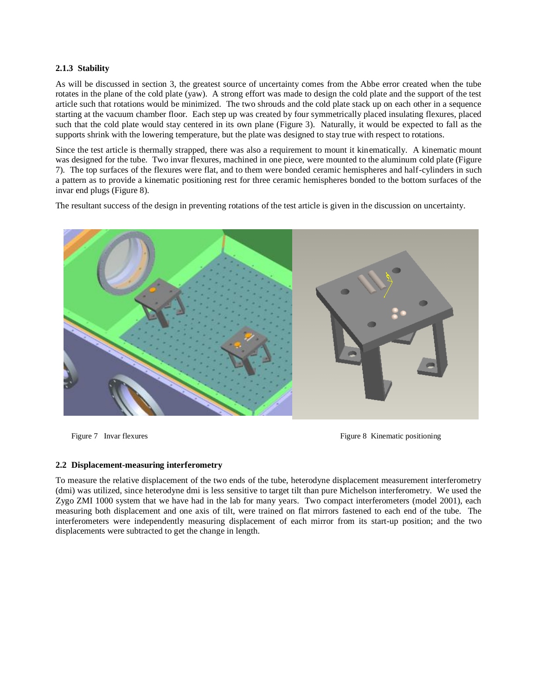# **2.1.3 Stability**

As will be discussed in section 3, the greatest source of uncertainty comes from the Abbe error created when the tube rotates in the plane of the cold plate (yaw). A strong effort was made to design the cold plate and the support of the test article such that rotations would be minimized. The two shrouds and the cold plate stack up on each other in a sequence starting at the vacuum chamber floor. Each step up was created by four symmetrically placed insulating flexures, placed such that the cold plate would stay centered in its own plane [\(Figure 3\)](#page-2-0). Naturally, it would be expected to fall as the supports shrink with the lowering temperature, but the plate was designed to stay true with respect to rotations.

Since the test article is thermally strapped, there was also a requirement to mount it kinematically. A kinematic mount was designed for the tube. Two invar flexures, machined in one piece, were mounted to the aluminum cold plate (Figure 7). The top surfaces of the flexures were flat, and to them were bonded ceramic hemispheres and half-cylinders in such a pattern as to provide a kinematic positioning rest for three ceramic hemispheres bonded to the bottom surfaces of the invar end plugs (Figure 8).

The resultant success of the design in preventing rotations of the test article is given in the discussion on uncertainty.



Figure 7 Invar flexures Figure 8 Kinematic positioning

#### **2.2 Displacement-measuring interferometry**

To measure the relative displacement of the two ends of the tube, heterodyne displacement measurement interferometry (dmi) was utilized, since heterodyne dmi is less sensitive to target tilt than pure Michelson interferometry. We used the Zygo ZMI 1000 system that we have had in the lab for many years. Two compact interferometers (model 2001), each measuring both displacement and one axis of tilt, were trained on flat mirrors fastened to each end of the tube. The interferometers were independently measuring displacement of each mirror from its start-up position; and the two displacements were subtracted to get the change in length.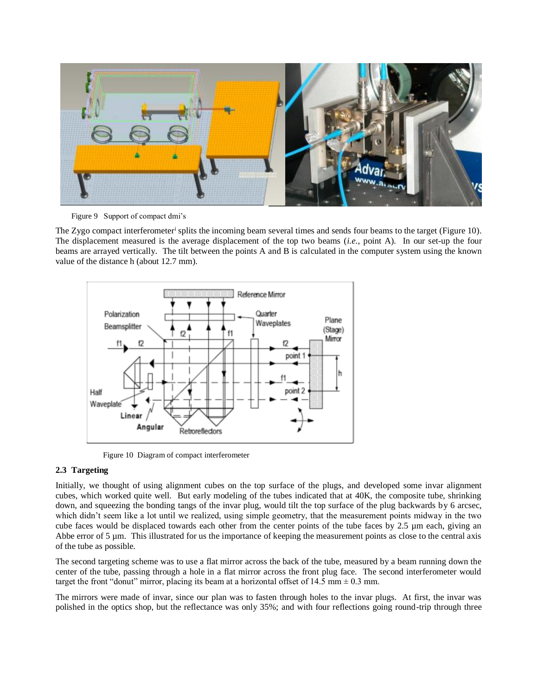

Figure 9 Support of compact dmi's

The Zygo compact interferometer<sup>i</sup> splits the incoming beam several times and sends four beams to the target [\(Figure 10\)](#page-6-0). The displacement measured is the average displacement of the top two beams (*i.e.*, point A). In our set-up the four beams are arrayed vertically. The tilt between the points A and B is calculated in the computer system using the known value of the distance h (about 12.7 mm).



Figure 10 Diagram of compact interferometer

# <span id="page-6-0"></span>**2.3 Targeting**

Initially, we thought of using alignment cubes on the top surface of the plugs, and developed some invar alignment cubes, which worked quite well. But early modeling of the tubes indicated that at 40K, the composite tube, shrinking down, and squeezing the bonding tangs of the invar plug, would tilt the top surface of the plug backwards by 6 arcsec, which didn't seem like a lot until we realized, using simple geometry, that the measurement points midway in the two cube faces would be displaced towards each other from the center points of the tube faces by 2.5 µm each, giving an Abbe error of  $5 \mu$ m. This illustrated for us the importance of keeping the measurement points as close to the central axis of the tube as possible.

The second targeting scheme was to use a flat mirror across the back of the tube, measured by a beam running down the center of the tube, passing through a hole in a flat mirror across the front plug face. The second interferometer would target the front "donut" mirror, placing its beam at a horizontal offset of 14.5 mm  $\pm$  0.3 mm.

The mirrors were made of invar, since our plan was to fasten through holes to the invar plugs. At first, the invar was polished in the optics shop, but the reflectance was only 35%; and with four reflections going round-trip through three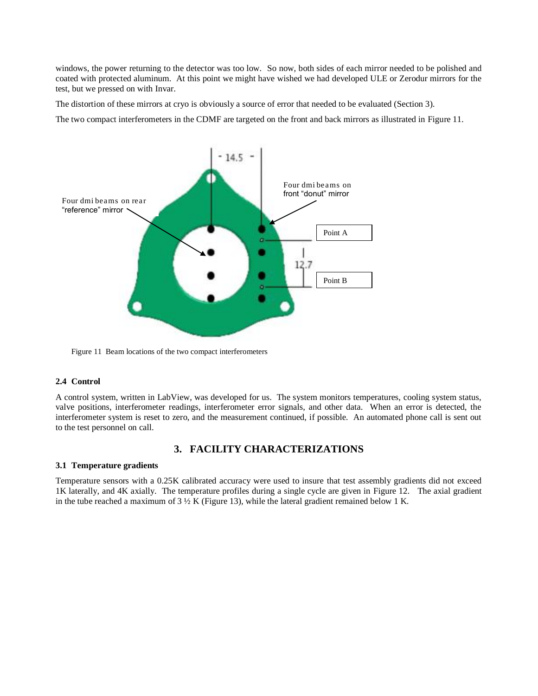windows, the power returning to the detector was too low. So now, both sides of each mirror needed to be polished and coated with protected aluminum. At this point we might have wished we had developed ULE or Zerodur mirrors for the test, but we pressed on with Invar.

The distortion of these mirrors at cryo is obviously a source of error that needed to be evaluated (Section 3).

The two compact interferometers in the CDMF are targeted on the front and back mirrors as illustrated in [Figure 11.](#page-7-0)



<span id="page-7-0"></span>Figure 11 Beam locations of the two compact interferometers

#### **2.4 Control**

A control system, written in LabView, was developed for us. The system monitors temperatures, cooling system status, valve positions, interferometer readings, interferometer error signals, and other data. When an error is detected, the interferometer system is reset to zero, and the measurement continued, if possible. An automated phone call is sent out to the test personnel on call.

# **3. FACILITY CHARACTERIZATIONS**

#### **3.1 Temperature gradients**

Temperature sensors with a 0.25K calibrated accuracy were used to insure that test assembly gradients did not exceed 1K laterally, and 4K axially. The temperature profiles during a single cycle are given in [Figure 12.](#page-8-0) The axial gradient in the tube reached a maximum of  $3\frac{1}{2}K$  [\(Figure 13\)](#page-8-1), while the lateral gradient remained below 1 K.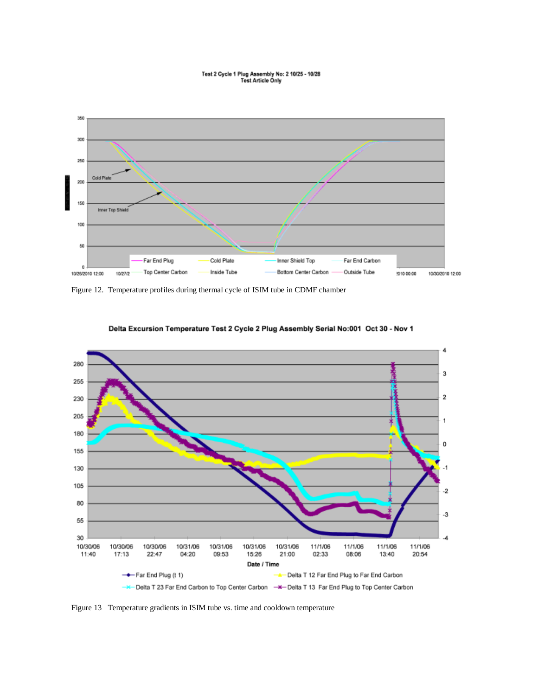# Test 2 Cycle 1 Plug Assembly No: 2 10/25 - 10/28<br>Test Article Only



<span id="page-8-0"></span>Figure 12. Temperature profiles during thermal cycle of ISIM tube in CDMF chamber



Delta Excursion Temperature Test 2 Cycle 2 Plug Assembly Serial No:001 Oct 30 - Nov 1

<span id="page-8-1"></span>Figure 13 Temperature gradients in ISIM tube vs. time and cooldown temperature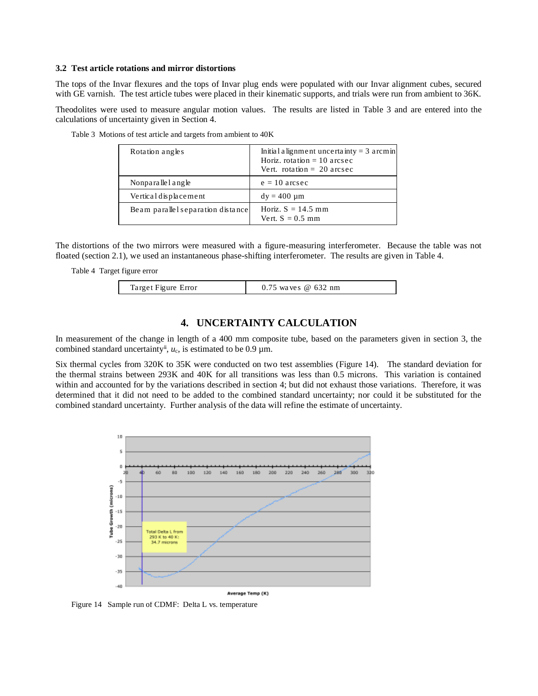#### **3.2 Test article rotations and mirror distortions**

The tops of the Invar flexures and the tops of Invar plug ends were populated with our Invar alignment cubes, secured with GE varnish. The test article tubes were placed in their kinematic supports, and trials were run from ambient to 36K.

Theodolites were used to measure angular motion values. The results are listed in [Table 3](#page-9-0) and are entered into the calculations of uncertainty given in Section 4.

| Rotation angles                   | Initial alignment uncertainty = $3$ arcmin<br>Horiz, rotation $= 10$ arcsec<br>Vert. rotation $= 20$ arcsec |
|-----------------------------------|-------------------------------------------------------------------------------------------------------------|
| Nonparalle l angle                | $e = 10$ arcsec                                                                                             |
| Vertical displacement             | $dy = 400 \mu m$                                                                                            |
| Beam parallel separation distance | Horiz, $S = 14.5$ mm<br>Vert. $S = 0.5$ mm                                                                  |

<span id="page-9-0"></span>Table 3 Motions of test article and targets from ambient to 40K

The distortions of the two mirrors were measured with a figure-measuring interferometer. Because the table was not floated (section 2.1), we used an instantaneous phase-shifting interferometer. The results are given in [Table 4.](#page-9-1)

```
Table 4 Target figure error
```

| Target Figure Error | $0.75$ waves @ 632 nm |
|---------------------|-----------------------|
|---------------------|-----------------------|

# **4. UNCERTAINTY CALCULATION**

In measurement of the change in length of a 400 mm composite tube, based on the parameters given in section 3, the combined standard uncertainty<sup>ii</sup>,  $u_c$ , is estimated to be 0.9  $\mu$ m.

Six thermal cycles from 320K to 35K were conducted on two test assemblies [\(Figure 14\)](#page-9-2). The standard deviation for the thermal strains between 293K and 40K for all transitions was less than 0.5 microns. This variation is contained within and accounted for by the variations described in section 4; but did not exhaust those variations. Therefore, it was determined that it did not need to be added to the combined standard uncertainty; nor could it be substituted for the combined standard uncertainty. Further analysis of the data will refine the estimate of uncertainty.



<span id="page-9-2"></span>Figure 14 Sample run of CDMF: Delta L vs. temperature